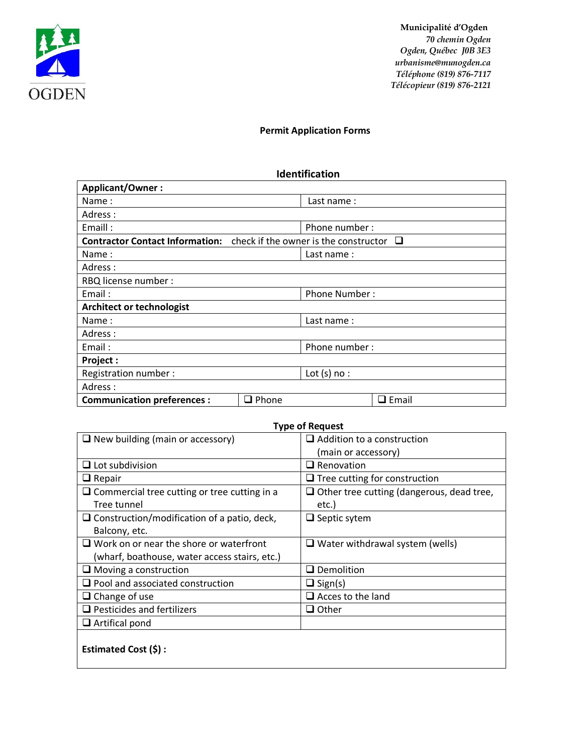

 **Municipalité d'Ogden** *70 chemin Ogden Ogden, Québec J0B 3E3 urbanisme@munogden.ca Téléphone (819) 876-7117 Télécopieur (819) 876-2121*

## **Permit Application Forms**

## **Identification**

| <b>Applicant/Owner:</b>                                                      |              |                      |              |  |
|------------------------------------------------------------------------------|--------------|----------------------|--------------|--|
| Name:                                                                        |              | Last name:           |              |  |
| Adress :                                                                     |              |                      |              |  |
| Emaill:                                                                      |              | Phone number:        |              |  |
| Contractor Contact Information: check if the owner is the constructor $\Box$ |              |                      |              |  |
| Name:                                                                        | Last name:   |                      |              |  |
| Adress:                                                                      |              |                      |              |  |
| RBQ license number :                                                         |              |                      |              |  |
| Email:                                                                       |              | <b>Phone Number:</b> |              |  |
| <b>Architect or technologist</b>                                             |              |                      |              |  |
| Name:                                                                        |              | Last name:           |              |  |
| Adress:                                                                      |              |                      |              |  |
| Email:                                                                       |              | Phone number:        |              |  |
| Project :                                                                    |              |                      |              |  |
| Registration number:                                                         |              | Lot $(s)$ no :       |              |  |
| Adress:                                                                      |              |                      |              |  |
| <b>Communication preferences:</b>                                            | $\Box$ Phone |                      | $\Box$ Email |  |

## **Type of Request**

| $\Box$ New building (main or accessory)             | $\Box$ Addition to a construction                |  |
|-----------------------------------------------------|--------------------------------------------------|--|
|                                                     | (main or accessory)                              |  |
| $\Box$ Lot subdivision                              | $\Box$ Renovation                                |  |
| $\Box$ Repair                                       | $\Box$ Tree cutting for construction             |  |
| $\Box$ Commercial tree cutting or tree cutting in a | $\Box$ Other tree cutting (dangerous, dead tree, |  |
| Tree tunnel                                         | etc.)                                            |  |
| $\Box$ Construction/modification of a patio, deck,  | $\Box$ Septic sytem                              |  |
| Balcony, etc.                                       |                                                  |  |
| $\Box$ Work on or near the shore or waterfront      | $\Box$ Water withdrawal system (wells)           |  |
| (wharf, boathouse, water access stairs, etc.)       |                                                  |  |
| $\Box$ Moving a construction                        | $\Box$ Demolition                                |  |
| $\Box$ Pool and associated construction             | $\Box$ Sign(s)                                   |  |
| $\Box$ Change of use                                | $\Box$ Acces to the land                         |  |
| $\Box$ Pesticides and fertilizers                   | $\Box$ Other                                     |  |
| $\Box$ Artifical pond                               |                                                  |  |
|                                                     |                                                  |  |
| Estimated Cost (\$) :                               |                                                  |  |
|                                                     |                                                  |  |